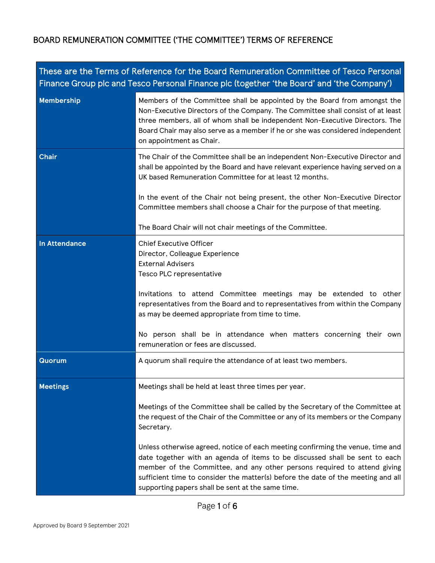| These are the Terms of Reference for the Board Remuneration Committee of Tesco Personal<br>Finance Group plc and Tesco Personal Finance plc (together 'the Board' and 'the Company') |                                                                                                                                                                                                                                                                                                                                                                                                         |  |
|--------------------------------------------------------------------------------------------------------------------------------------------------------------------------------------|---------------------------------------------------------------------------------------------------------------------------------------------------------------------------------------------------------------------------------------------------------------------------------------------------------------------------------------------------------------------------------------------------------|--|
| Membership                                                                                                                                                                           | Members of the Committee shall be appointed by the Board from amongst the<br>Non-Executive Directors of the Company. The Committee shall consist of at least<br>three members, all of whom shall be independent Non-Executive Directors. The<br>Board Chair may also serve as a member if he or she was considered independent<br>on appointment as Chair.                                              |  |
| <b>Chair</b>                                                                                                                                                                         | The Chair of the Committee shall be an independent Non-Executive Director and<br>shall be appointed by the Board and have relevant experience having served on a<br>UK based Remuneration Committee for at least 12 months.                                                                                                                                                                             |  |
|                                                                                                                                                                                      | In the event of the Chair not being present, the other Non-Executive Director<br>Committee members shall choose a Chair for the purpose of that meeting.                                                                                                                                                                                                                                                |  |
|                                                                                                                                                                                      | The Board Chair will not chair meetings of the Committee.                                                                                                                                                                                                                                                                                                                                               |  |
| <b>In Attendance</b>                                                                                                                                                                 | <b>Chief Executive Officer</b><br>Director, Colleague Experience<br><b>External Advisers</b><br>Tesco PLC representative<br>Invitations to attend Committee meetings may be extended to other<br>representatives from the Board and to representatives from within the Company<br>as may be deemed appropriate from time to time.<br>No person shall be in attendance when matters concerning their own |  |
|                                                                                                                                                                                      | remuneration or fees are discussed.                                                                                                                                                                                                                                                                                                                                                                     |  |
| Quorum                                                                                                                                                                               | A quorum shall require the attendance of at least two members.                                                                                                                                                                                                                                                                                                                                          |  |
| <b>Meetings</b>                                                                                                                                                                      | Meetings shall be held at least three times per year.                                                                                                                                                                                                                                                                                                                                                   |  |
|                                                                                                                                                                                      | Meetings of the Committee shall be called by the Secretary of the Committee at<br>the request of the Chair of the Committee or any of its members or the Company<br>Secretary.                                                                                                                                                                                                                          |  |
|                                                                                                                                                                                      | Unless otherwise agreed, notice of each meeting confirming the venue, time and<br>date together with an agenda of items to be discussed shall be sent to each<br>member of the Committee, and any other persons required to attend giving<br>sufficient time to consider the matter(s) before the date of the meeting and all<br>supporting papers shall be sent at the same time.                      |  |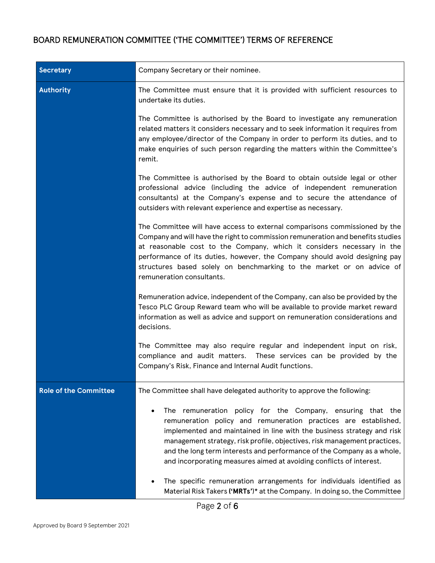| Secretary                    | Company Secretary or their nominee.                                                                                                                                                                                                                                                                                                                                                                                                   |
|------------------------------|---------------------------------------------------------------------------------------------------------------------------------------------------------------------------------------------------------------------------------------------------------------------------------------------------------------------------------------------------------------------------------------------------------------------------------------|
| Authority                    | The Committee must ensure that it is provided with sufficient resources to<br>undertake its duties.                                                                                                                                                                                                                                                                                                                                   |
|                              | The Committee is authorised by the Board to investigate any remuneration<br>related matters it considers necessary and to seek information it requires from<br>any employee/director of the Company in order to perform its duties, and to<br>make enquiries of such person regarding the matters within the Committee's<br>remit.                                                                                                    |
|                              | The Committee is authorised by the Board to obtain outside legal or other<br>professional advice (including the advice of independent remuneration<br>consultants) at the Company's expense and to secure the attendance of<br>outsiders with relevant experience and expertise as necessary.                                                                                                                                         |
|                              | The Committee will have access to external comparisons commissioned by the<br>Company and will have the right to commission remuneration and benefits studies<br>at reasonable cost to the Company, which it considers necessary in the<br>performance of its duties, however, the Company should avoid designing pay<br>structures based solely on benchmarking to the market or on advice of<br>remuneration consultants.           |
|                              | Remuneration advice, independent of the Company, can also be provided by the<br>Tesco PLC Group Reward team who will be available to provide market reward<br>information as well as advice and support on remuneration considerations and<br>decisions.                                                                                                                                                                              |
|                              | The Committee may also require regular and independent input on risk,<br>compliance and audit matters. These services can be provided by the<br>Company's Risk, Finance and Internal Audit functions.                                                                                                                                                                                                                                 |
| <b>Role of the Committee</b> | The Committee shall have delegated authority to approve the following:                                                                                                                                                                                                                                                                                                                                                                |
|                              | The remuneration policy for the Company, ensuring that the<br>remuneration policy and remuneration practices are established,<br>implemented and maintained in line with the business strategy and risk<br>management strategy, risk profile, objectives, risk management practices,<br>and the long term interests and performance of the Company as a whole,<br>and incorporating measures aimed at avoiding conflicts of interest. |
|                              | The specific remuneration arrangements for individuals identified as<br>Material Risk Takers ('MRTs')* at the Company. In doing so, the Committee                                                                                                                                                                                                                                                                                     |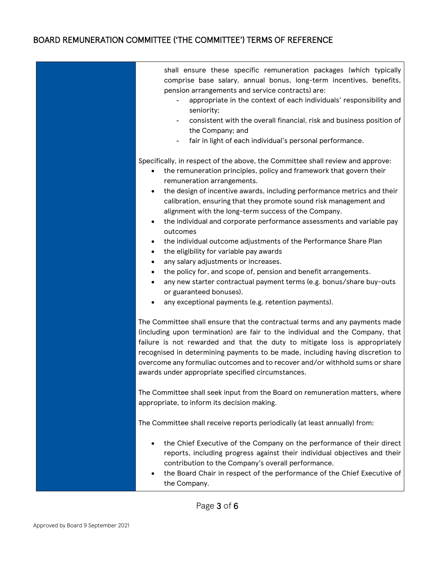| shall ensure these specific remuneration packages (which typically<br>comprise base salary, annual bonus, long-term incentives, benefits,<br>pension arrangements and service contracts) are:<br>appropriate in the context of each individuals' responsibility and<br>seniority;<br>consistent with the overall financial, risk and business position of<br>the Company; and<br>fair in light of each individual's personal performance.                                                                                                                                                                                                                                                                                                                                                                                                                                                                       |
|-----------------------------------------------------------------------------------------------------------------------------------------------------------------------------------------------------------------------------------------------------------------------------------------------------------------------------------------------------------------------------------------------------------------------------------------------------------------------------------------------------------------------------------------------------------------------------------------------------------------------------------------------------------------------------------------------------------------------------------------------------------------------------------------------------------------------------------------------------------------------------------------------------------------|
| Specifically, in respect of the above, the Committee shall review and approve:<br>the remuneration principles, policy and framework that govern their<br>٠<br>remuneration arrangements.<br>the design of incentive awards, including performance metrics and their<br>٠<br>calibration, ensuring that they promote sound risk management and<br>alignment with the long-term success of the Company.<br>the individual and corporate performance assessments and variable pay<br>٠<br>outcomes<br>the individual outcome adjustments of the Performance Share Plan<br>٠<br>the eligibility for variable pay awards<br>٠<br>any salary adjustments or increases.<br>the policy for, and scope of, pension and benefit arrangements.<br>٠<br>any new starter contractual payment terms (e.g. bonus/share buy-outs<br>$\bullet$<br>or guaranteed bonuses).<br>any exceptional payments (e.g. retention payments). |
| The Committee shall ensure that the contractual terms and any payments made<br>(including upon termination) are fair to the individual and the Company, that<br>failure is not rewarded and that the duty to mitigate loss is appropriately<br>recognised in determining payments to be made, including having discretion to<br>overcome any formuliac outcomes and to recover and/or withhold sums or share<br>awards under appropriate specified circumstances.                                                                                                                                                                                                                                                                                                                                                                                                                                               |
| The Committee shall seek input from the Board on remuneration matters, where<br>appropriate, to inform its decision making.                                                                                                                                                                                                                                                                                                                                                                                                                                                                                                                                                                                                                                                                                                                                                                                     |
| The Committee shall receive reports periodically (at least annually) from:                                                                                                                                                                                                                                                                                                                                                                                                                                                                                                                                                                                                                                                                                                                                                                                                                                      |
| the Chief Executive of the Company on the performance of their direct<br>reports, including progress against their individual objectives and their<br>contribution to the Company's overall performance.<br>the Board Chair in respect of the performance of the Chief Executive of<br>٠<br>the Company.                                                                                                                                                                                                                                                                                                                                                                                                                                                                                                                                                                                                        |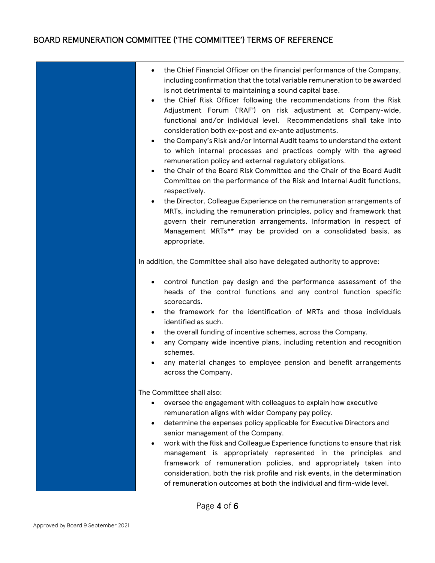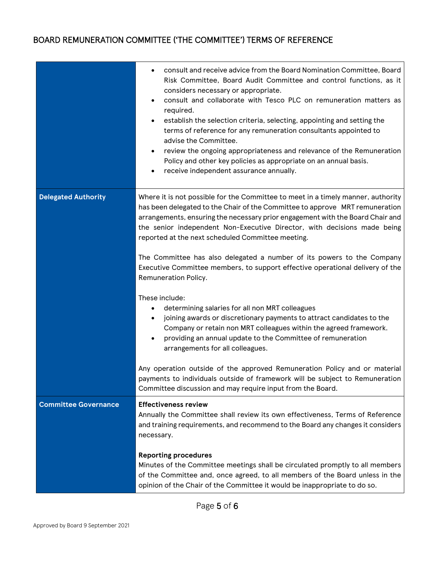|                             | consult and receive advice from the Board Nomination Committee, Board<br>Risk Committee, Board Audit Committee and control functions, as it<br>considers necessary or appropriate.<br>consult and collaborate with Tesco PLC on remuneration matters as<br>$\bullet$<br>required.<br>establish the selection criteria, selecting, appointing and setting the<br>$\bullet$<br>terms of reference for any remuneration consultants appointed to<br>advise the Committee.<br>review the ongoing appropriateness and relevance of the Remuneration<br>$\bullet$<br>Policy and other key policies as appropriate on an annual basis.<br>receive independent assurance annually. |
|-----------------------------|----------------------------------------------------------------------------------------------------------------------------------------------------------------------------------------------------------------------------------------------------------------------------------------------------------------------------------------------------------------------------------------------------------------------------------------------------------------------------------------------------------------------------------------------------------------------------------------------------------------------------------------------------------------------------|
| <b>Delegated Authority</b>  | Where it is not possible for the Committee to meet in a timely manner, authority<br>has been delegated to the Chair of the Committee to approve MRT remuneration<br>arrangements, ensuring the necessary prior engagement with the Board Chair and<br>the senior independent Non-Executive Director, with decisions made being<br>reported at the next scheduled Committee meeting.<br>The Committee has also delegated a number of its powers to the Company<br>Executive Committee members, to support effective operational delivery of the<br>Remuneration Policy.                                                                                                     |
|                             | These include:<br>determining salaries for all non MRT colleagues<br>٠<br>joining awards or discretionary payments to attract candidates to the<br>٠<br>Company or retain non MRT colleagues within the agreed framework.<br>providing an annual update to the Committee of remuneration<br>arrangements for all colleagues.                                                                                                                                                                                                                                                                                                                                               |
|                             | Any operation outside of the approved Remuneration Policy and or material<br>payments to individuals outside of framework will be subject to Remuneration<br>Committee discussion and may require input from the Board.                                                                                                                                                                                                                                                                                                                                                                                                                                                    |
| <b>Committee Governance</b> | <b>Effectiveness review</b><br>Annually the Committee shall review its own effectiveness, Terms of Reference<br>and training requirements, and recommend to the Board any changes it considers<br>necessary.                                                                                                                                                                                                                                                                                                                                                                                                                                                               |
|                             | <b>Reporting procedures</b><br>Minutes of the Committee meetings shall be circulated promptly to all members<br>of the Committee and, once agreed, to all members of the Board unless in the<br>opinion of the Chair of the Committee it would be inappropriate to do so.                                                                                                                                                                                                                                                                                                                                                                                                  |